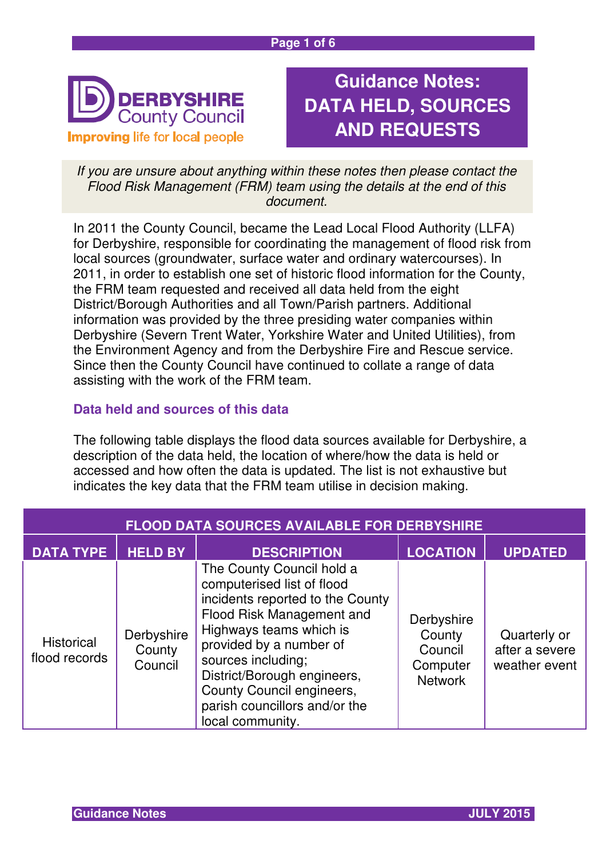

# **Guidance Notes: DATA HELD, SOURCES AND REQUESTS**

If you are unsure about anything within these notes then please contact the Flood Risk Management (FRM) team using the details at the end of this document.

In 2011 the County Council, became the Lead Local Flood Authority (LLFA) for Derbyshire, responsible for coordinating the management of flood risk from local sources (groundwater, surface water and ordinary watercourses). In 2011, in order to establish one set of historic flood information for the County, the FRM team requested and received all data held from the eight District/Borough Authorities and all Town/Parish partners. Additional information was provided by the three presiding water companies within Derbyshire (Severn Trent Water, Yorkshire Water and United Utilities), from the Environment Agency and from the Derbyshire Fire and Rescue service. Since then the County Council have continued to collate a range of data assisting with the work of the FRM team.

# **Data held and sources of this data**

The following table displays the flood data sources available for Derbyshire, a description of the data held, the location of where/how the data is held or accessed and how often the data is updated. The list is not exhaustive but indicates the key data that the FRM team utilise in decision making.

| <b>FLOOD DATA SOURCES AVAILABLE FOR DERBYSHIRE</b> |                                 |                                                                                                                                                                                                                                                                                                                       |                                                               |                                                 |
|----------------------------------------------------|---------------------------------|-----------------------------------------------------------------------------------------------------------------------------------------------------------------------------------------------------------------------------------------------------------------------------------------------------------------------|---------------------------------------------------------------|-------------------------------------------------|
| <b>DATA TYPE</b>                                   | <b>HELD BY</b>                  | <b>DESCRIPTION</b>                                                                                                                                                                                                                                                                                                    | <b>LOCATION</b>                                               | UPDATED                                         |
| Historical<br>flood records                        | Derbyshire<br>County<br>Council | The County Council hold a<br>computerised list of flood<br>incidents reported to the County<br>Flood Risk Management and<br>Highways teams which is<br>provided by a number of<br>sources including;<br>District/Borough engineers,<br>County Council engineers,<br>parish councillors and/or the<br>local community. | Derbyshire<br>County<br>Council<br>Computer<br><b>Network</b> | Quarterly or<br>after a severe<br>weather event |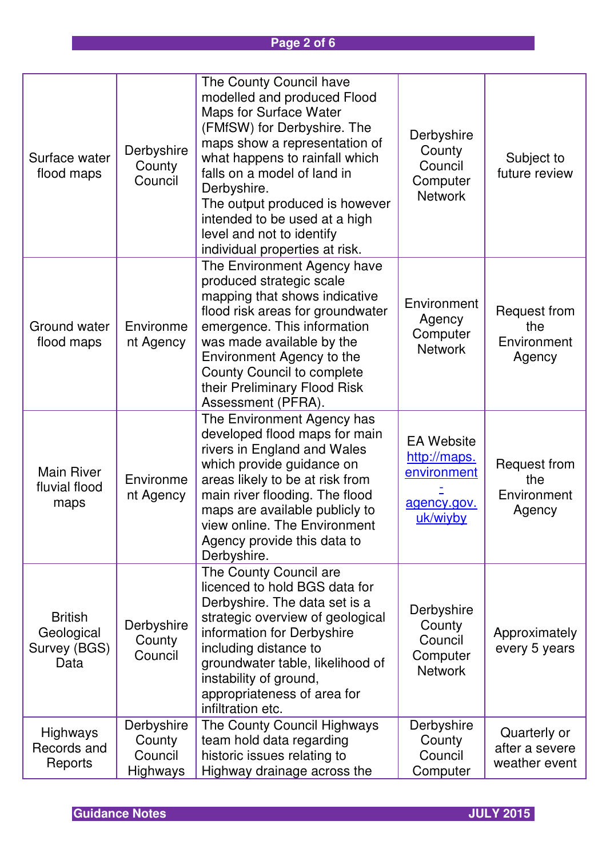# **Page 2 of 6**

| Surface water<br>flood maps                          | Derbyshire<br>County<br>Council                    | The County Council have<br>modelled and produced Flood<br>Maps for Surface Water<br>(FMfSW) for Derbyshire. The<br>maps show a representation of<br>what happens to rainfall which<br>falls on a model of land in<br>Derbyshire.<br>The output produced is however<br>intended to be used at a high<br>level and not to identify<br>individual properties at risk. | Derbyshire<br>County<br>Council<br>Computer<br><b>Network</b>               | Subject to<br>future review                         |
|------------------------------------------------------|----------------------------------------------------|--------------------------------------------------------------------------------------------------------------------------------------------------------------------------------------------------------------------------------------------------------------------------------------------------------------------------------------------------------------------|-----------------------------------------------------------------------------|-----------------------------------------------------|
| Ground water<br>flood maps                           | Environme<br>nt Agency                             | The Environment Agency have<br>produced strategic scale<br>mapping that shows indicative<br>flood risk areas for groundwater<br>emergence. This information<br>was made available by the<br>Environment Agency to the<br>County Council to complete<br>their Preliminary Flood Risk<br>Assessment (PFRA).                                                          | Environment<br>Agency<br>Computer<br><b>Network</b>                         | <b>Request from</b><br>the<br>Environment<br>Agency |
| <b>Main River</b><br>fluvial flood<br>maps           | Environme<br>nt Agency                             | The Environment Agency has<br>developed flood maps for main<br>rivers in England and Wales<br>which provide guidance on<br>areas likely to be at risk from<br>main river flooding. The flood<br>maps are available publicly to<br>view online. The Environment<br>Agency provide this data to<br>Derbyshire.                                                       | <b>EA Website</b><br>http://maps.<br>environment<br>agency.gov.<br>uk/wiyby | Request from<br>the<br>Environment<br>Agency        |
| <b>British</b><br>Geological<br>Survey (BGS)<br>Data | Derbyshire<br>County<br>Council                    | The County Council are<br>licenced to hold BGS data for<br>Derbyshire. The data set is a<br>strategic overview of geological<br>information for Derbyshire<br>including distance to<br>groundwater table, likelihood of<br>instability of ground,<br>appropriateness of area for<br>infiltration etc.                                                              | Derbyshire<br>County<br>Council<br>Computer<br><b>Network</b>               | Approximately<br>every 5 years                      |
| Highways<br>Records and<br>Reports                   | Derbyshire<br>County<br>Council<br><b>Highways</b> | The County Council Highways<br>team hold data regarding<br>historic issues relating to<br>Highway drainage across the                                                                                                                                                                                                                                              | Derbyshire<br>County<br>Council<br>Computer                                 | Quarterly or<br>after a severe<br>weather event     |

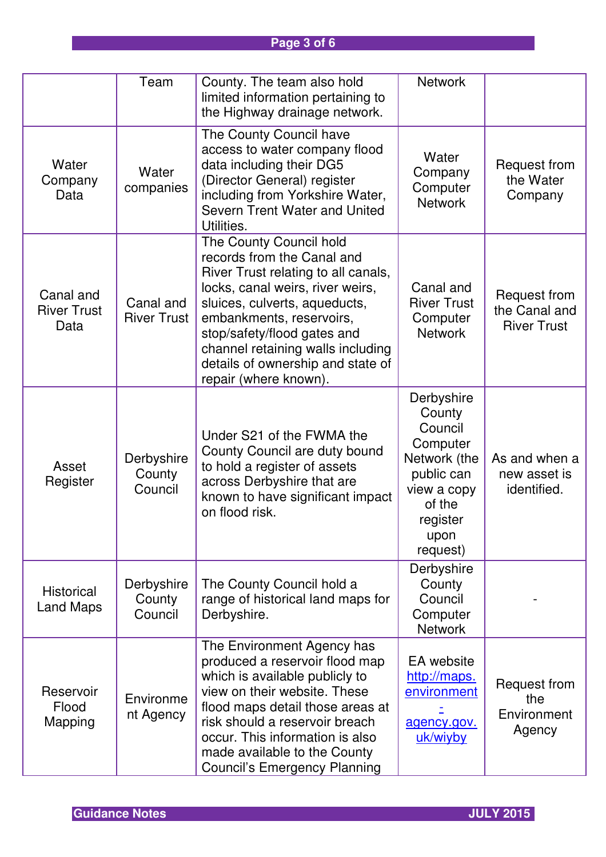# **Page 3 of 6**

|                                         | Team                            | County. The team also hold<br>limited information pertaining to<br>the Highway drainage network.                                                                                                                                                                                                                                | <b>Network</b>                                                                                                                     |                                                     |
|-----------------------------------------|---------------------------------|---------------------------------------------------------------------------------------------------------------------------------------------------------------------------------------------------------------------------------------------------------------------------------------------------------------------------------|------------------------------------------------------------------------------------------------------------------------------------|-----------------------------------------------------|
| Water<br>Company<br>Data                | Water<br>companies              | The County Council have<br>access to water company flood<br>data including their DG5<br>(Director General) register<br>including from Yorkshire Water,<br>Severn Trent Water and United<br>Utilities.                                                                                                                           | Water<br>Company<br>Computer<br><b>Network</b>                                                                                     | Request from<br>the Water<br>Company                |
| Canal and<br><b>River Trust</b><br>Data | Canal and<br><b>River Trust</b> | The County Council hold<br>records from the Canal and<br>River Trust relating to all canals,<br>locks, canal weirs, river weirs,<br>sluices, culverts, aqueducts,<br>embankments, reservoirs,<br>stop/safety/flood gates and<br>channel retaining walls including<br>details of ownership and state of<br>repair (where known). | Canal and<br><b>River Trust</b><br>Computer<br><b>Network</b>                                                                      | Request from<br>the Canal and<br><b>River Trust</b> |
| Asset<br>Register                       | Derbyshire<br>County<br>Council | Under S21 of the FWMA the<br>County Council are duty bound<br>to hold a register of assets<br>across Derbyshire that are<br>known to have significant impact<br>on flood risk.                                                                                                                                                  | Derbyshire<br>County<br>Council<br>Computer<br>Network (the<br>public can<br>view a copy<br>of the<br>register<br>upon<br>request) | As and when a<br>new asset is<br>identified.        |
| Historical<br><b>Land Maps</b>          | Derbyshire<br>County<br>Council | The County Council hold a<br>range of historical land maps for<br>Derbyshire.                                                                                                                                                                                                                                                   | Derbyshire<br>County<br>Council<br>Computer<br><b>Network</b>                                                                      |                                                     |
| Reservoir<br>Flood<br>Mapping           | Environme<br>nt Agency          | The Environment Agency has<br>produced a reservoir flood map<br>which is available publicly to<br>view on their website. These<br>flood maps detail those areas at<br>risk should a reservoir breach<br>occur. This information is also<br>made available to the County<br><b>Council's Emergency Planning</b>                  | EA website<br>http://maps.<br>environment<br>agency.gov.<br>uk/wiyby                                                               | Request from<br>the<br>Environment<br>Agency        |

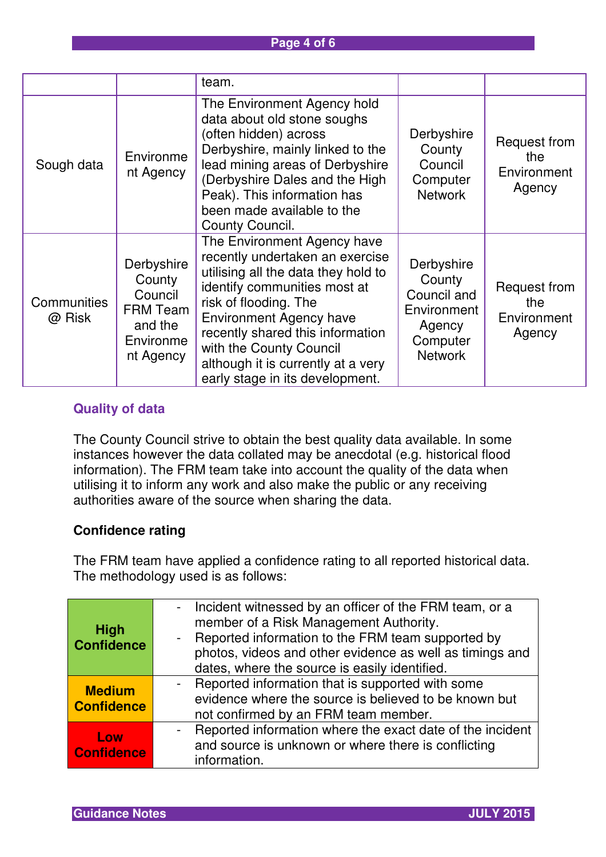#### **Page 4 of 6**

|                              |                                                                                         | team.                                                                                                                                                                                                                                                                                                                                    |                                                                                            |                                                     |
|------------------------------|-----------------------------------------------------------------------------------------|------------------------------------------------------------------------------------------------------------------------------------------------------------------------------------------------------------------------------------------------------------------------------------------------------------------------------------------|--------------------------------------------------------------------------------------------|-----------------------------------------------------|
| Sough data                   | Environme<br>nt Agency                                                                  | The Environment Agency hold<br>data about old stone soughs<br>(often hidden) across<br>Derbyshire, mainly linked to the<br>lead mining areas of Derbyshire<br>(Derbyshire Dales and the High<br>Peak). This information has<br>been made available to the<br>County Council.                                                             | Derbyshire<br>County<br>Council<br>Computer<br><b>Network</b>                              | <b>Request from</b><br>the<br>Environment<br>Agency |
| <b>Communities</b><br>@ Risk | Derbyshire<br>County<br>Council<br><b>FRM Team</b><br>and the<br>Environme<br>nt Agency | The Environment Agency have<br>recently undertaken an exercise<br>utilising all the data they hold to<br>identify communities most at<br>risk of flooding. The<br><b>Environment Agency have</b><br>recently shared this information<br>with the County Council<br>although it is currently at a very<br>early stage in its development. | Derbyshire<br>County<br>Council and<br>Environment<br>Agency<br>Computer<br><b>Network</b> | <b>Request from</b><br>the<br>Environment<br>Agency |

# **Quality of data**

The County Council strive to obtain the best quality data available. In some instances however the data collated may be anecdotal (e.g. historical flood information). The FRM team take into account the quality of the data when utilising it to inform any work and also make the public or any receiving authorities aware of the source when sharing the data.

#### **Confidence rating**

The FRM team have applied a confidence rating to all reported historical data. The methodology used is as follows:

|                                  | - Incident witnessed by an officer of the FRM team, or a        |
|----------------------------------|-----------------------------------------------------------------|
| <b>High</b><br><b>Confidence</b> | member of a Risk Management Authority.                          |
|                                  | Reported information to the FRM team supported by<br>$\sim$ $-$ |
|                                  | photos, videos and other evidence as well as timings and        |
|                                  | dates, where the source is easily identified.                   |
| <b>Medium</b>                    | - Reported information that is supported with some              |
| <b>Confidence</b>                | evidence where the source is believed to be known but           |
|                                  | not confirmed by an FRM team member.                            |
| Low<br><b>Confidence</b>         | - Reported information where the exact date of the incident     |
|                                  | and source is unknown or where there is conflicting             |
|                                  | information.                                                    |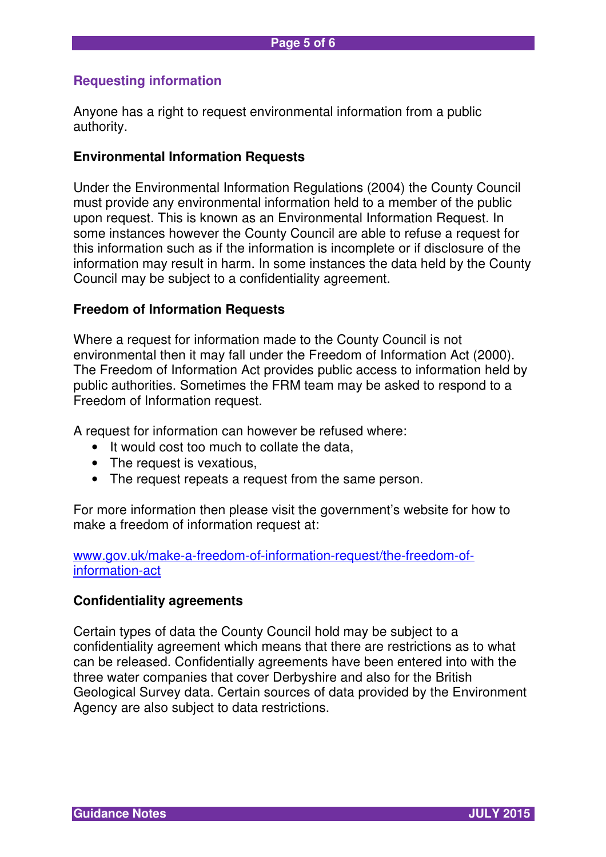# **Requesting information**

Anyone has a right to request environmental information from a public authority.

#### **Environmental Information Requests**

Under the Environmental Information Regulations (2004) the County Council must provide any environmental information held to a member of the public upon request. This is known as an Environmental Information Request. In some instances however the County Council are able to refuse a request for this information such as if the information is incomplete or if disclosure of the information may result in harm. In some instances the data held by the County Council may be subject to a confidentiality agreement.

#### **Freedom of Information Requests**

Where a request for information made to the County Council is not environmental then it may fall under the Freedom of Information Act (2000). The Freedom of Information Act provides public access to information held by public authorities. Sometimes the FRM team may be asked to respond to a Freedom of Information request.

A request for information can however be refused where:

- It would cost too much to collate the data,
- The request is vexatious,
- The request repeats a request from the same person.

For more information then please visit the government's website for how to make a freedom of information request at:

www.gov.uk/make-a-freedom-of-information-request/the-freedom-ofinformation-act

#### **Confidentiality agreements**

Certain types of data the County Council hold may be subject to a confidentiality agreement which means that there are restrictions as to what can be released. Confidentially agreements have been entered into with the three water companies that cover Derbyshire and also for the British Geological Survey data. Certain sources of data provided by the Environment Agency are also subject to data restrictions.